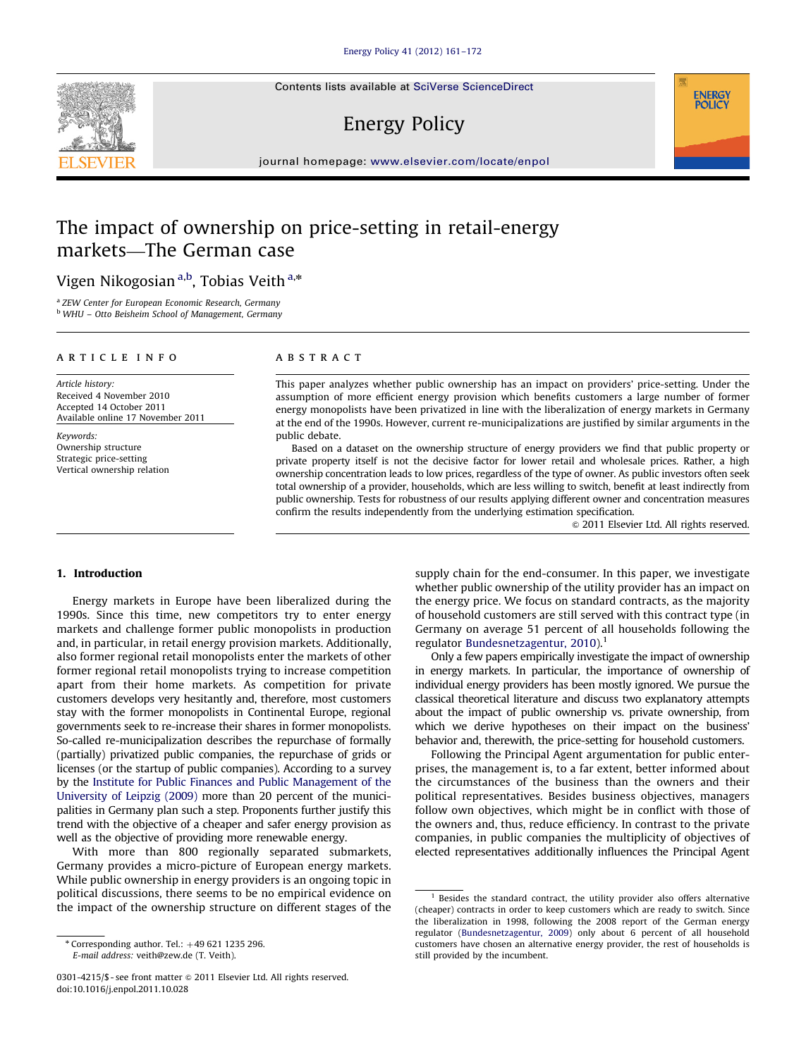Contents lists available at [SciVerse ScienceDirect](www.elsevier.com/locate/enpol)

# Energy Policy

journal homepage: <www.elsevier.com/locate/enpol>

# The impact of ownership on price-setting in retail-energy markets—The German case

Vigen Nikogosian<sup>a,b</sup>, Tobias Veith<sup>a,</sup>\*

<sup>a</sup> ZEW Center for European Economic Research, Germany <sup>b</sup> WHU – Otto Beisheim School of Management, Germany

## article info

Article history: Received 4 November 2010 Accepted 14 October 2011 Available online 17 November 2011

Keywords: Ownership structure Strategic price-setting Vertical ownership relation

## ABSTRACT

This paper analyzes whether public ownership has an impact on providers' price-setting. Under the assumption of more efficient energy provision which benefits customers a large number of former energy monopolists have been privatized in line with the liberalization of energy markets in Germany at the end of the 1990s. However, current re-municipalizations are justified by similar arguments in the public debate.

Based on a dataset on the ownership structure of energy providers we find that public property or private property itself is not the decisive factor for lower retail and wholesale prices. Rather, a high ownership concentration leads to low prices, regardless of the type of owner. As public investors often seek total ownership of a provider, households, which are less willing to switch, benefit at least indirectly from public ownership. Tests for robustness of our results applying different owner and concentration measures confirm the results independently from the underlying estimation specification.

 $\odot$  2011 Elsevier Ltd. All rights reserved.

**ENERGY POLIC** 

### 1. Introduction

Energy markets in Europe have been liberalized during the 1990s. Since this time, new competitors try to enter energy markets and challenge former public monopolists in production and, in particular, in retail energy provision markets. Additionally, also former regional retail monopolists enter the markets of other former regional retail monopolists trying to increase competition apart from their home markets. As competition for private customers develops very hesitantly and, therefore, most customers stay with the former monopolists in Continental Europe, regional governments seek to re-increase their shares in former monopolists. So-called re-municipalization describes the repurchase of formally (partially) privatized public companies, the repurchase of grids or licenses (or the startup of public companies). According to a survey by the [Institute for Public Finances and Public Management of the](#page--1-0) [University of Leipzig \(2009\)](#page--1-0) more than 20 percent of the municipalities in Germany plan such a step. Proponents further justify this trend with the objective of a cheaper and safer energy provision as well as the objective of providing more renewable energy.

With more than 800 regionally separated submarkets, Germany provides a micro-picture of European energy markets. While public ownership in energy providers is an ongoing topic in political discussions, there seems to be no empirical evidence on the impact of the ownership structure on different stages of the supply chain for the end-consumer. In this paper, we investigate whether public ownership of the utility provider has an impact on the energy price. We focus on standard contracts, as the majority of household customers are still served with this contract type (in Germany on average 51 percent of all households following the regulator [Bundesnetzagentur, 2010](#page--1-0)).<sup>1</sup>

Only a few papers empirically investigate the impact of ownership in energy markets. In particular, the importance of ownership of individual energy providers has been mostly ignored. We pursue the classical theoretical literature and discuss two explanatory attempts about the impact of public ownership vs. private ownership, from which we derive hypotheses on their impact on the business' behavior and, therewith, the price-setting for household customers.

Following the Principal Agent argumentation for public enterprises, the management is, to a far extent, better informed about the circumstances of the business than the owners and their political representatives. Besides business objectives, managers follow own objectives, which might be in conflict with those of the owners and, thus, reduce efficiency. In contrast to the private companies, in public companies the multiplicity of objectives of elected representatives additionally influences the Principal Agent



 $*$  Corresponding author. Tel.:  $+49$  621 1235 296. E-mail address: [veith@zew.de \(T. Veith\).](mailto:veith@zew.de)

<sup>0301-4215/\$ -</sup> see front matter @ 2011 Elsevier Ltd. All rights reserved. doi:[10.1016/j.enpol.2011.10.028](dx.doi.org/10.1016/j.enpol.2011.10.028)

 $1$  Besides the standard contract, the utility provider also offers alternative (cheaper) contracts in order to keep customers which are ready to switch. Since the liberalization in 1998, following the 2008 report of the German energy regulator [\(Bundesnetzagentur, 2009\)](#page--1-0) only about 6 percent of all household customers have chosen an alternative energy provider, the rest of households is still provided by the incumbent.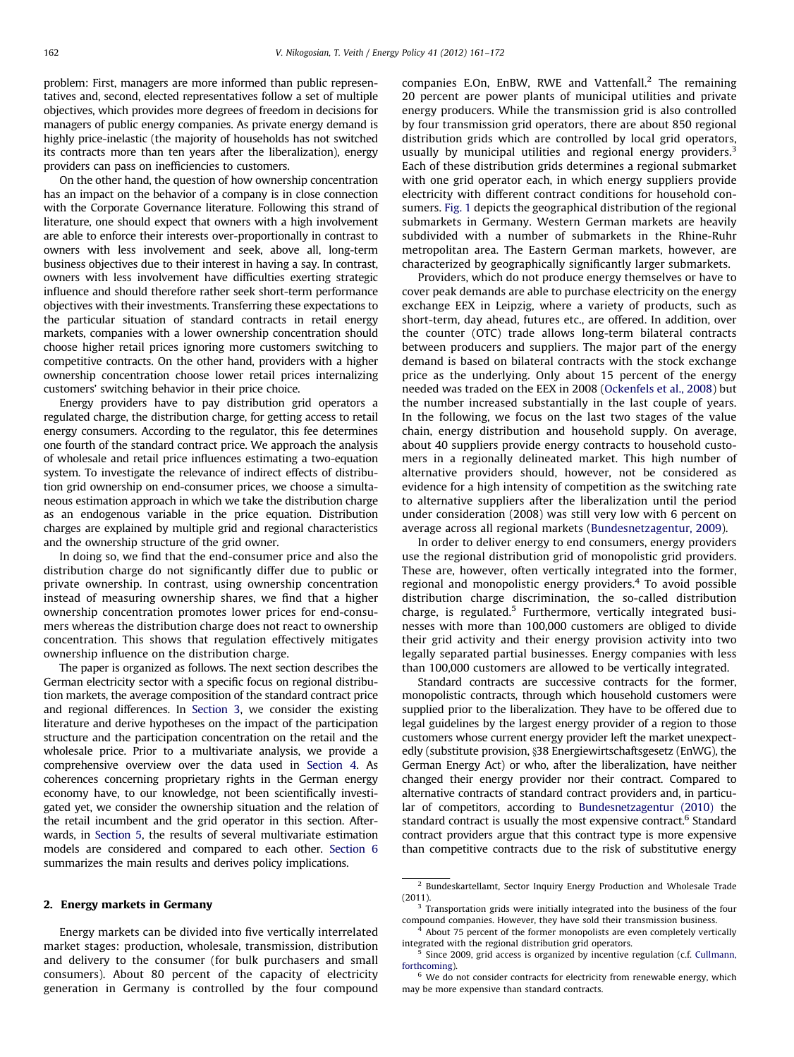problem: First, managers are more informed than public representatives and, second, elected representatives follow a set of multiple objectives, which provides more degrees of freedom in decisions for managers of public energy companies. As private energy demand is highly price-inelastic (the majority of households has not switched its contracts more than ten years after the liberalization), energy providers can pass on inefficiencies to customers.

On the other hand, the question of how ownership concentration has an impact on the behavior of a company is in close connection with the Corporate Governance literature. Following this strand of literature, one should expect that owners with a high involvement are able to enforce their interests over-proportionally in contrast to owners with less involvement and seek, above all, long-term business objectives due to their interest in having a say. In contrast, owners with less involvement have difficulties exerting strategic influence and should therefore rather seek short-term performance objectives with their investments. Transferring these expectations to the particular situation of standard contracts in retail energy markets, companies with a lower ownership concentration should choose higher retail prices ignoring more customers switching to competitive contracts. On the other hand, providers with a higher ownership concentration choose lower retail prices internalizing customers' switching behavior in their price choice.

Energy providers have to pay distribution grid operators a regulated charge, the distribution charge, for getting access to retail energy consumers. According to the regulator, this fee determines one fourth of the standard contract price. We approach the analysis of wholesale and retail price influences estimating a two-equation system. To investigate the relevance of indirect effects of distribution grid ownership on end-consumer prices, we choose a simultaneous estimation approach in which we take the distribution charge as an endogenous variable in the price equation. Distribution charges are explained by multiple grid and regional characteristics and the ownership structure of the grid owner.

In doing so, we find that the end-consumer price and also the distribution charge do not significantly differ due to public or private ownership. In contrast, using ownership concentration instead of measuring ownership shares, we find that a higher ownership concentration promotes lower prices for end-consumers whereas the distribution charge does not react to ownership concentration. This shows that regulation effectively mitigates ownership influence on the distribution charge.

The paper is organized as follows. The next section describes the German electricity sector with a specific focus on regional distribution markets, the average composition of the standard contract price and regional differences. In [Section 3](#page--1-0), we consider the existing literature and derive hypotheses on the impact of the participation structure and the participation concentration on the retail and the wholesale price. Prior to a multivariate analysis, we provide a comprehensive overview over the data used in [Section 4](#page--1-0). As coherences concerning proprietary rights in the German energy economy have, to our knowledge, not been scientifically investigated yet, we consider the ownership situation and the relation of the retail incumbent and the grid operator in this section. Afterwards, in [Section 5](#page--1-0), the results of several multivariate estimation models are considered and compared to each other. [Section 6](#page--1-0) summarizes the main results and derives policy implications.

### 2. Energy markets in Germany

Energy markets can be divided into five vertically interrelated market stages: production, wholesale, transmission, distribution and delivery to the consumer (for bulk purchasers and small consumers). About 80 percent of the capacity of electricity generation in Germany is controlled by the four compound companies E.On, EnBW, RWE and Vattenfall.<sup>2</sup> The remaining 20 percent are power plants of municipal utilities and private energy producers. While the transmission grid is also controlled by four transmission grid operators, there are about 850 regional distribution grids which are controlled by local grid operators, usually by municipal utilities and regional energy providers. $3$ Each of these distribution grids determines a regional submarket with one grid operator each, in which energy suppliers provide electricity with different contract conditions for household consumers. [Fig. 1](#page--1-0) depicts the geographical distribution of the regional submarkets in Germany. Western German markets are heavily subdivided with a number of submarkets in the Rhine-Ruhr metropolitan area. The Eastern German markets, however, are characterized by geographically significantly larger submarkets.

Providers, which do not produce energy themselves or have to cover peak demands are able to purchase electricity on the energy exchange EEX in Leipzig, where a variety of products, such as short-term, day ahead, futures etc., are offered. In addition, over the counter (OTC) trade allows long-term bilateral contracts between producers and suppliers. The major part of the energy demand is based on bilateral contracts with the stock exchange price as the underlying. Only about 15 percent of the energy needed was traded on the EEX in 2008 ([Ockenfels et al., 2008\)](#page--1-0) but the number increased substantially in the last couple of years. In the following, we focus on the last two stages of the value chain, energy distribution and household supply. On average, about 40 suppliers provide energy contracts to household customers in a regionally delineated market. This high number of alternative providers should, however, not be considered as evidence for a high intensity of competition as the switching rate to alternative suppliers after the liberalization until the period under consideration (2008) was still very low with 6 percent on average across all regional markets ([Bundesnetzagentur, 2009](#page--1-0)).

In order to deliver energy to end consumers, energy providers use the regional distribution grid of monopolistic grid providers. These are, however, often vertically integrated into the former, regional and monopolistic energy providers.<sup>4</sup> To avoid possible distribution charge discrimination, the so-called distribution charge, is regulated.<sup>5</sup> Furthermore, vertically integrated businesses with more than 100,000 customers are obliged to divide their grid activity and their energy provision activity into two legally separated partial businesses. Energy companies with less than 100,000 customers are allowed to be vertically integrated.

Standard contracts are successive contracts for the former, monopolistic contracts, through which household customers were supplied prior to the liberalization. They have to be offered due to legal guidelines by the largest energy provider of a region to those customers whose current energy provider left the market unexpectedly (substitute provision, §38 Energiewirtschaftsgesetz (EnWG), the German Energy Act) or who, after the liberalization, have neither changed their energy provider nor their contract. Compared to alternative contracts of standard contract providers and, in particular of competitors, according to [Bundesnetzagentur \(2010\)](#page--1-0) the standard contract is usually the most expensive contract.<sup>6</sup> Standard contract providers argue that this contract type is more expensive than competitive contracts due to the risk of substitutive energy

<sup>&</sup>lt;sup>2</sup> Bundeskartellamt, Sector Inquiry Energy Production and Wholesale Trade (2011).

<sup>&</sup>lt;sup>3</sup> Transportation grids were initially integrated into the business of the four compound companies. However, they have sold their transmission business.

<sup>&</sup>lt;sup>4</sup> About 75 percent of the former monopolists are even completely vertically integrated with the regional distribution grid operators.

 $5$  Since 2009, grid access is organized by incentive regulation (c.f. [Cullmann,](#page--1-0) [forthcoming](#page--1-0)).

 $6$  We do not consider contracts for electricity from renewable energy, which may be more expensive than standard contracts.